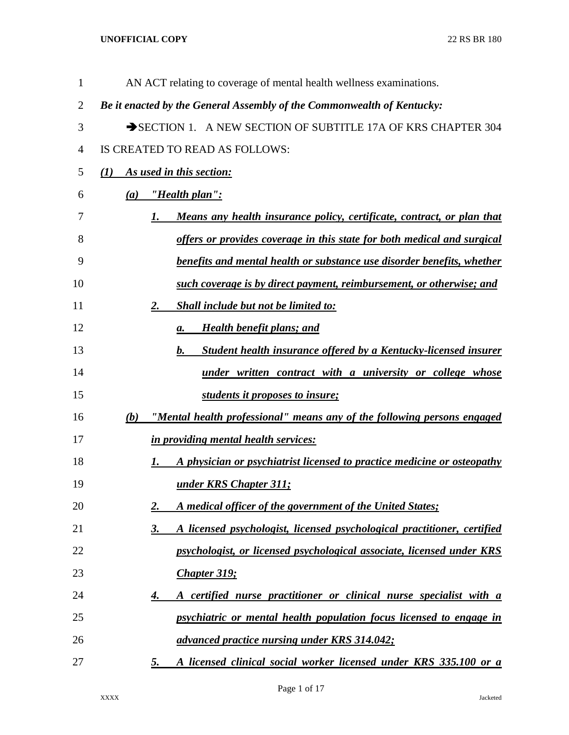| $\mathbf{1}$   | AN ACT relating to coverage of mental health wellness examinations.            |
|----------------|--------------------------------------------------------------------------------|
| $\overline{2}$ | Be it enacted by the General Assembly of the Commonwealth of Kentucky:         |
| 3              | SECTION 1. A NEW SECTION OF SUBTITLE 17A OF KRS CHAPTER 304                    |
| 4              | IS CREATED TO READ AS FOLLOWS:                                                 |
| 5              | As used in this section:<br>(I)                                                |
| 6              | <u>"Health plan":</u><br>(a)                                                   |
| 7              | Means any health insurance policy, certificate, contract, or plan that<br>1.   |
| 8              | offers or provides coverage in this state for both medical and surgical        |
| 9              | benefits and mental health or substance use disorder benefits, whether         |
| 10             | such coverage is by direct payment, reimbursement, or otherwise; and           |
| 11             | <b>Shall include but not be limited to:</b><br>2.                              |
| 12             | <b>Health benefit plans; and</b><br>а.                                         |
| 13             | Student health insurance offered by a Kentucky-licensed insurer<br>$\bm{b}$ .  |
| 14             | under written contract with a university or college whose                      |
| 15             | students it proposes to insure;                                                |
| 16             | "Mental health professional" means any of the following persons engaged<br>(b) |
| 17             | in providing mental health services:                                           |
| 18             | A physician or psychiatrist licensed to practice medicine or osteopathy<br>1.  |
| 19             | under KRS Chapter 311;                                                         |
| 20             | A medical officer of the government of the United States;<br>2.                |
| 21             | A licensed psychologist, licensed psychological practitioner, certified<br>3.  |
| 22             | psychologist, or licensed psychological associate, licensed under KRS          |
| 23             | <b>Chapter 319;</b>                                                            |
| 24             | A certified nurse practitioner or clinical nurse specialist with a<br>4.       |
| 25             | psychiatric or mental health population focus licensed to engage in            |
| 26             | advanced practice nursing under KRS 314.042;                                   |
| 27             | A licensed clinical social worker licensed under KRS 335.100 or a<br>5.        |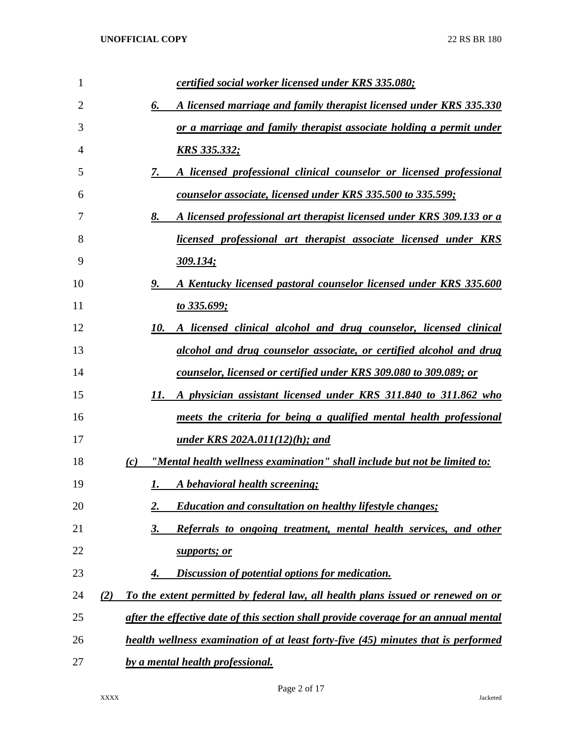| 1  | certified social worker licensed under KRS 335.080;                                     |
|----|-----------------------------------------------------------------------------------------|
| 2  | A licensed marriage and family therapist licensed under KRS 335.330<br>6.               |
| 3  | or a marriage and family therapist associate holding a permit under                     |
| 4  | <u>KRS 335.332;</u>                                                                     |
| 5  | A licensed professional clinical counselor or licensed professional<br>7.               |
| 6  | counselor associate, licensed under KRS 335.500 to 335.599;                             |
| 7  | A licensed professional art therapist licensed under KRS 309.133 or a<br>8.             |
| 8  | <u>licensed professional art therapist associate licensed under KRS</u>                 |
| 9  | <u>309.134;</u>                                                                         |
| 10 | A Kentucky licensed pastoral counselor licensed under KRS 335.600<br>9.                 |
| 11 | <u>to 335.699;</u>                                                                      |
| 12 | A licensed clinical alcohol and drug counselor, licensed clinical<br>10.                |
| 13 | alcohol and drug counselor associate, or certified alcohol and drug                     |
| 14 | <u>counselor, licensed or certified under KRS 309.080 to 309.089; or</u>                |
| 15 | A physician assistant licensed under KRS 311.840 to 311.862 who<br>11.                  |
| 16 | meets the criteria for being a qualified mental health professional                     |
| 17 | <u>under KRS 202A.011(12)(h); and</u>                                                   |
| 18 | "Mental health wellness examination" shall include but not be limited to:<br>(c)        |
| 19 | A behavioral health screening;<br>1.                                                    |
| 20 | <b>Education and consultation on healthy lifestyle changes;</b><br>2.                   |
| 21 | Referrals to ongoing treatment, mental health services, and other<br>3.                 |
| 22 | supports; or                                                                            |
| 23 | Discussion of potential options for medication.<br>4.                                   |
| 24 | To the extent permitted by federal law, all health plans issued or renewed on or<br>(2) |
| 25 | after the effective date of this section shall provide coverage for an annual mental    |
| 26 | health wellness examination of at least forty-five (45) minutes that is performed       |
| 27 | by a mental health professional.                                                        |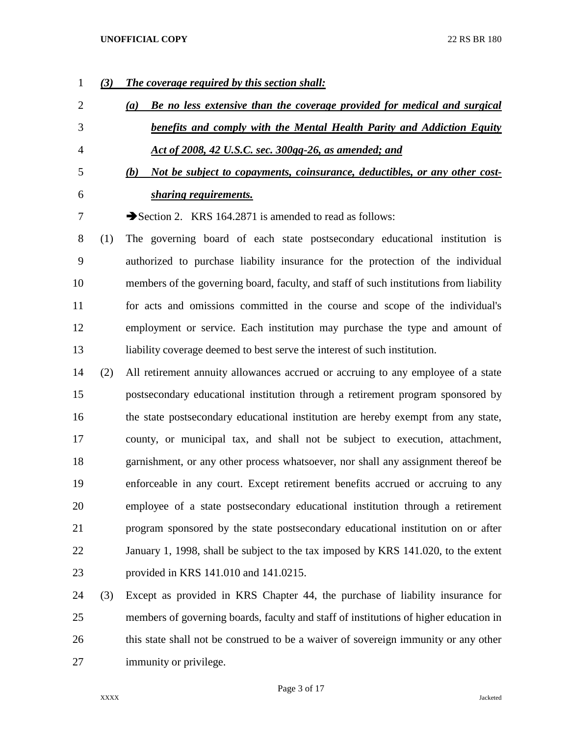- *(3) The coverage required by this section shall: (a) Be no less extensive than the coverage provided for medical and surgical benefits and comply with the Mental Health Parity and Addiction Equity Act of 2008, 42 U.S.C. sec. 300gg-26, as amended; and (b) Not be subject to copayments, coinsurance, deductibles, or any other cost- sharing requirements.* 7 Section 2. KRS 164.2871 is amended to read as follows: (1) The governing board of each state postsecondary educational institution is authorized to purchase liability insurance for the protection of the individual members of the governing board, faculty, and staff of such institutions from liability for acts and omissions committed in the course and scope of the individual's employment or service. Each institution may purchase the type and amount of liability coverage deemed to best serve the interest of such institution. (2) All retirement annuity allowances accrued or accruing to any employee of a state postsecondary educational institution through a retirement program sponsored by the state postsecondary educational institution are hereby exempt from any state, county, or municipal tax, and shall not be subject to execution, attachment, garnishment, or any other process whatsoever, nor shall any assignment thereof be enforceable in any court. Except retirement benefits accrued or accruing to any employee of a state postsecondary educational institution through a retirement
- program sponsored by the state postsecondary educational institution on or after January 1, 1998, shall be subject to the tax imposed by KRS 141.020, to the extent provided in KRS 141.010 and 141.0215.
- (3) Except as provided in KRS Chapter 44, the purchase of liability insurance for members of governing boards, faculty and staff of institutions of higher education in this state shall not be construed to be a waiver of sovereign immunity or any other immunity or privilege.

Page 3 of 17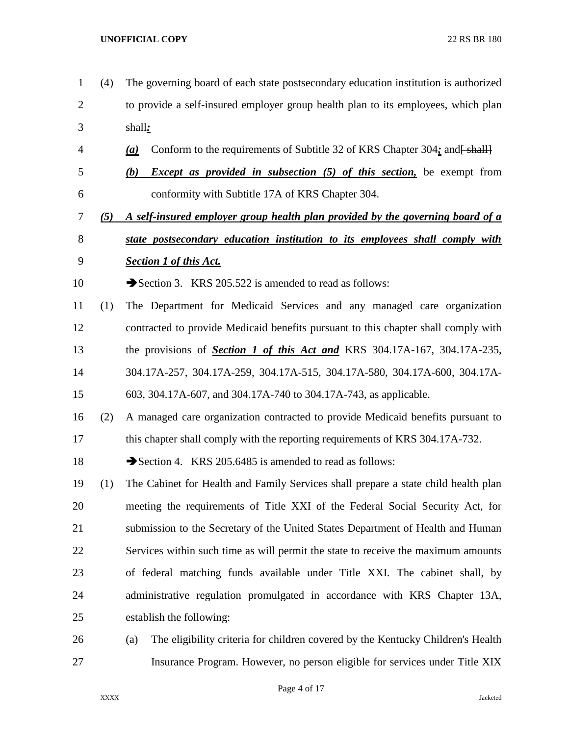- (4) The governing board of each state postsecondary education institution is authorized to provide a self-insured employer group health plan to its employees, which plan shall*:* 4 **(a)** Conform to the requirements of Subtitle 32 of KRS Chapter 304; and  $\frac{1}{2}$  *(b) Except as provided in subsection (5) of this section,* be exempt from conformity with Subtitle 17A of KRS Chapter 304. *(5) A self-insured employer group health plan provided by the governing board of a state postsecondary education institution to its employees shall comply with Section 1 of this Act.* 10 Section 3. KRS 205.522 is amended to read as follows: (1) The Department for Medicaid Services and any managed care organization contracted to provide Medicaid benefits pursuant to this chapter shall comply with the provisions of *Section 1 of this Act and* KRS 304.17A-167, 304.17A-235, 304.17A-257, 304.17A-259, 304.17A-515, 304.17A-580, 304.17A-600, 304.17A- 603, 304.17A-607, and 304.17A-740 to 304.17A-743, as applicable. (2) A managed care organization contracted to provide Medicaid benefits pursuant to 17 this chapter shall comply with the reporting requirements of KRS 304.17A-732. 18 Section 4. KRS 205.6485 is amended to read as follows: (1) The Cabinet for Health and Family Services shall prepare a state child health plan meeting the requirements of Title XXI of the Federal Social Security Act, for submission to the Secretary of the United States Department of Health and Human Services within such time as will permit the state to receive the maximum amounts of federal matching funds available under Title XXI. The cabinet shall, by administrative regulation promulgated in accordance with KRS Chapter 13A, establish the following: (a) The eligibility criteria for children covered by the Kentucky Children's Health
- Insurance Program. However, no person eligible for services under Title XIX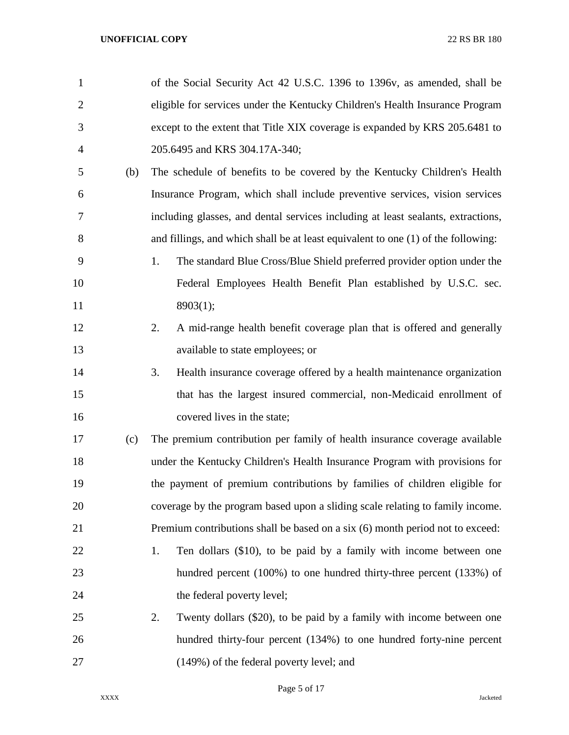| $\mathbf{1}$   |     | of the Social Security Act 42 U.S.C. 1396 to 1396v, as amended, shall be          |
|----------------|-----|-----------------------------------------------------------------------------------|
| $\overline{2}$ |     | eligible for services under the Kentucky Children's Health Insurance Program      |
| 3              |     | except to the extent that Title XIX coverage is expanded by KRS 205.6481 to       |
| $\overline{4}$ |     | 205.6495 and KRS 304.17A-340;                                                     |
| 5              | (b) | The schedule of benefits to be covered by the Kentucky Children's Health          |
| 6              |     | Insurance Program, which shall include preventive services, vision services       |
| 7              |     | including glasses, and dental services including at least sealants, extractions,  |
| 8              |     | and fillings, and which shall be at least equivalent to one (1) of the following: |
| 9              |     | The standard Blue Cross/Blue Shield preferred provider option under the<br>1.     |
| 10             |     | Federal Employees Health Benefit Plan established by U.S.C. sec.                  |
| 11             |     | 8903(1);                                                                          |
| 12             |     | A mid-range health benefit coverage plan that is offered and generally<br>2.      |
| 13             |     | available to state employees; or                                                  |
| 14             |     | Health insurance coverage offered by a health maintenance organization<br>3.      |
| 15             |     | that has the largest insured commercial, non-Medicaid enrollment of               |
| 16             |     | covered lives in the state;                                                       |
| 17             | (c) | The premium contribution per family of health insurance coverage available        |
| 18             |     | under the Kentucky Children's Health Insurance Program with provisions for        |
| 19             |     | the payment of premium contributions by families of children eligible for         |
| 20             |     | coverage by the program based upon a sliding scale relating to family income.     |
| 21             |     | Premium contributions shall be based on a six (6) month period not to exceed:     |
| 22             |     | Ten dollars (\$10), to be paid by a family with income between one<br>1.          |
| 23             |     | hundred percent (100%) to one hundred thirty-three percent (133%) of              |
| 24             |     | the federal poverty level;                                                        |
| 25             |     | 2.<br>Twenty dollars (\$20), to be paid by a family with income between one       |
| 26             |     | hundred thirty-four percent (134%) to one hundred forty-nine percent              |
| 27             |     | (149%) of the federal poverty level; and                                          |

Page 5 of 17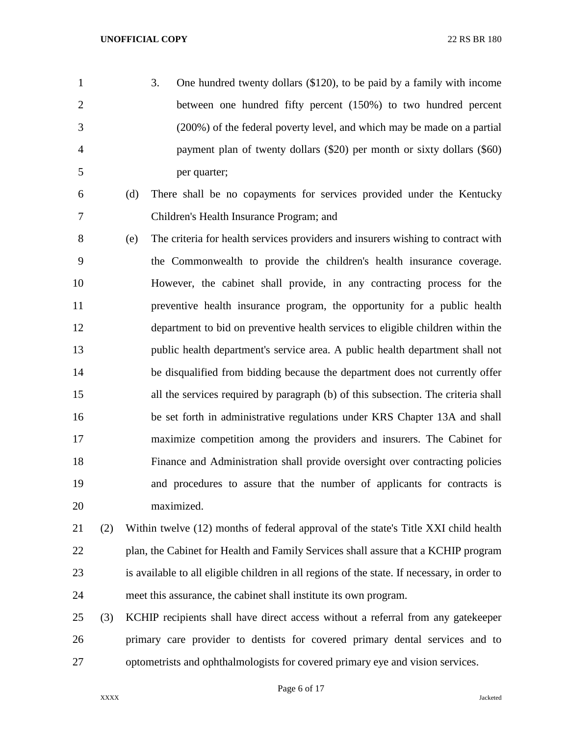- 3. One hundred twenty dollars (\$120), to be paid by a family with income between one hundred fifty percent (150%) to two hundred percent (200%) of the federal poverty level, and which may be made on a partial payment plan of twenty dollars (\$20) per month or sixty dollars (\$60) per quarter;
- 
- (d) There shall be no copayments for services provided under the Kentucky Children's Health Insurance Program; and
- (e) The criteria for health services providers and insurers wishing to contract with the Commonwealth to provide the children's health insurance coverage. However, the cabinet shall provide, in any contracting process for the preventive health insurance program, the opportunity for a public health department to bid on preventive health services to eligible children within the public health department's service area. A public health department shall not be disqualified from bidding because the department does not currently offer all the services required by paragraph (b) of this subsection. The criteria shall be set forth in administrative regulations under KRS Chapter 13A and shall maximize competition among the providers and insurers. The Cabinet for Finance and Administration shall provide oversight over contracting policies and procedures to assure that the number of applicants for contracts is maximized.
- (2) Within twelve (12) months of federal approval of the state's Title XXI child health plan, the Cabinet for Health and Family Services shall assure that a KCHIP program is available to all eligible children in all regions of the state. If necessary, in order to meet this assurance, the cabinet shall institute its own program.
- (3) KCHIP recipients shall have direct access without a referral from any gatekeeper primary care provider to dentists for covered primary dental services and to optometrists and ophthalmologists for covered primary eye and vision services.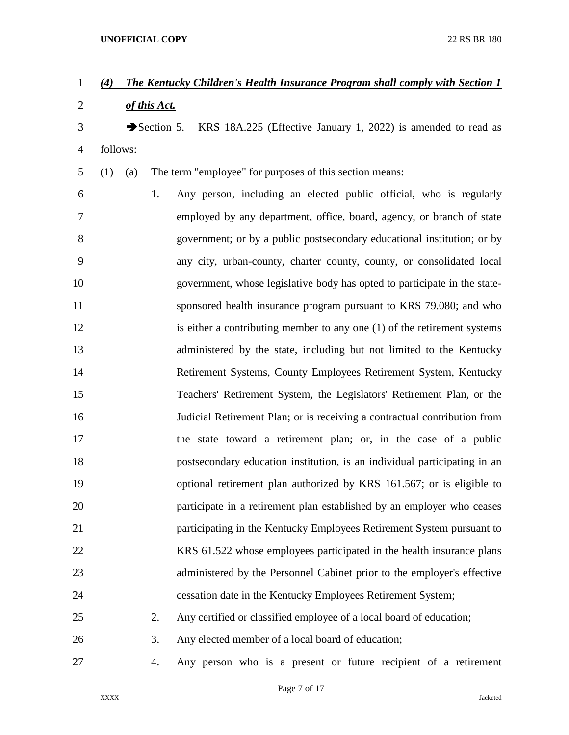# *(4) The Kentucky Children's Health Insurance Program shall comply with Section 1*

*of this Act.*

3 Section 5. KRS 18A.225 (Effective January 1, 2022) is amended to read as follows:

(1) (a) The term "employee" for purposes of this section means:

 1. Any person, including an elected public official, who is regularly employed by any department, office, board, agency, or branch of state government; or by a public postsecondary educational institution; or by any city, urban-county, charter county, county, or consolidated local government, whose legislative body has opted to participate in the state-11 sponsored health insurance program pursuant to KRS 79.080; and who 12 is either a contributing member to any one (1) of the retirement systems administered by the state, including but not limited to the Kentucky Retirement Systems, County Employees Retirement System, Kentucky Teachers' Retirement System, the Legislators' Retirement Plan, or the Judicial Retirement Plan; or is receiving a contractual contribution from the state toward a retirement plan; or, in the case of a public postsecondary education institution, is an individual participating in an optional retirement plan authorized by KRS 161.567; or is eligible to participate in a retirement plan established by an employer who ceases participating in the Kentucky Employees Retirement System pursuant to 22 KRS 61.522 whose employees participated in the health insurance plans administered by the Personnel Cabinet prior to the employer's effective cessation date in the Kentucky Employees Retirement System; 2. Any certified or classified employee of a local board of education;

- 3. Any elected member of a local board of education;
- 4. Any person who is a present or future recipient of a retirement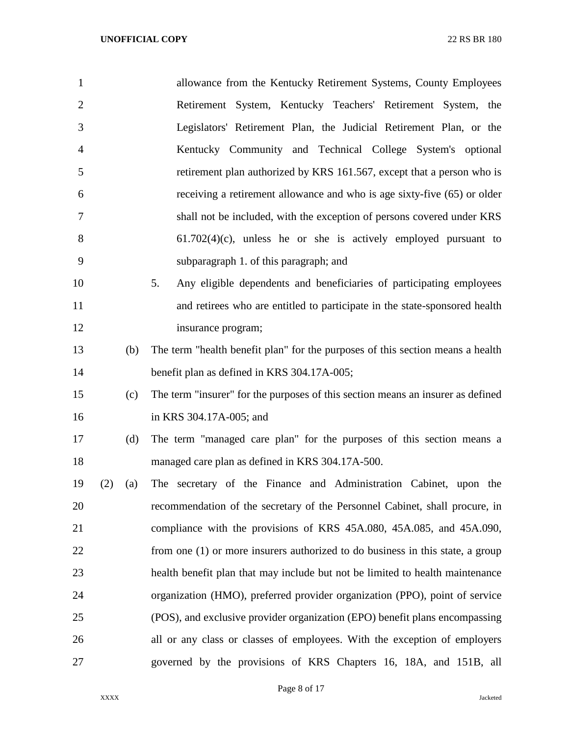| $\mathbf{1}$     | allowance from the Kentucky Retirement Systems, County Employees                |
|------------------|---------------------------------------------------------------------------------|
| $\overline{2}$   | Retirement System, Kentucky Teachers' Retirement System, the                    |
| 3                | Legislators' Retirement Plan, the Judicial Retirement Plan, or the              |
| 4                | Kentucky Community and Technical College System's optional                      |
| 5                | retirement plan authorized by KRS 161.567, except that a person who is          |
| 6                | receiving a retirement allowance and who is age sixty-five (65) or older        |
| 7                | shall not be included, with the exception of persons covered under KRS          |
| 8                | $61.702(4)(c)$ , unless he or she is actively employed pursuant to              |
| 9                | subparagraph 1. of this paragraph; and                                          |
| 10               | 5.<br>Any eligible dependents and beneficiaries of participating employees      |
| 11               | and retirees who are entitled to participate in the state-sponsored health      |
| 12               | insurance program;                                                              |
| 13<br>(b)        | The term "health benefit plan" for the purposes of this section means a health  |
| 14               | benefit plan as defined in KRS 304.17A-005;                                     |
| 15<br>(c)        | The term "insurer" for the purposes of this section means an insurer as defined |
| 16               | in KRS 304.17A-005; and                                                         |
| 17<br>(d)        | The term "managed care plan" for the purposes of this section means a           |
| 18               | managed care plan as defined in KRS 304.17A-500.                                |
| 19<br>(2)<br>(a) | The secretary of the Finance and Administration Cabinet, upon the               |
| 20               | recommendation of the secretary of the Personnel Cabinet, shall procure, in     |
| 21               | compliance with the provisions of KRS 45A.080, 45A.085, and 45A.090,            |
| 22               | from one (1) or more insurers authorized to do business in this state, a group  |
| 23               | health benefit plan that may include but not be limited to health maintenance   |
| 24               | organization (HMO), preferred provider organization (PPO), point of service     |
| 25               | (POS), and exclusive provider organization (EPO) benefit plans encompassing     |
| 26               | all or any class or classes of employees. With the exception of employers       |
| 27               | governed by the provisions of KRS Chapters 16, 18A, and 151B, all               |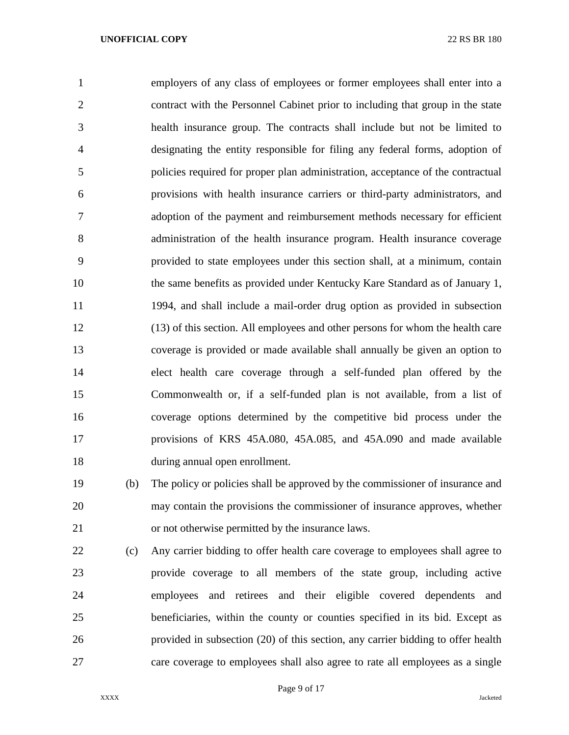employers of any class of employees or former employees shall enter into a contract with the Personnel Cabinet prior to including that group in the state health insurance group. The contracts shall include but not be limited to designating the entity responsible for filing any federal forms, adoption of policies required for proper plan administration, acceptance of the contractual provisions with health insurance carriers or third-party administrators, and adoption of the payment and reimbursement methods necessary for efficient administration of the health insurance program. Health insurance coverage provided to state employees under this section shall, at a minimum, contain the same benefits as provided under Kentucky Kare Standard as of January 1, 1994, and shall include a mail-order drug option as provided in subsection (13) of this section. All employees and other persons for whom the health care coverage is provided or made available shall annually be given an option to elect health care coverage through a self-funded plan offered by the Commonwealth or, if a self-funded plan is not available, from a list of coverage options determined by the competitive bid process under the provisions of KRS 45A.080, 45A.085, and 45A.090 and made available during annual open enrollment.

 (b) The policy or policies shall be approved by the commissioner of insurance and may contain the provisions the commissioner of insurance approves, whether or not otherwise permitted by the insurance laws.

 (c) Any carrier bidding to offer health care coverage to employees shall agree to provide coverage to all members of the state group, including active employees and retirees and their eligible covered dependents and beneficiaries, within the county or counties specified in its bid. Except as provided in subsection (20) of this section, any carrier bidding to offer health care coverage to employees shall also agree to rate all employees as a single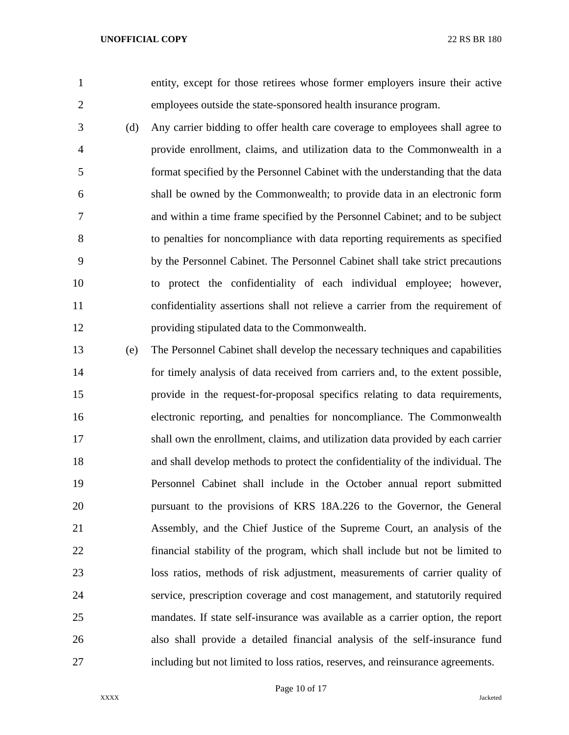entity, except for those retirees whose former employers insure their active employees outside the state-sponsored health insurance program.

- (d) Any carrier bidding to offer health care coverage to employees shall agree to provide enrollment, claims, and utilization data to the Commonwealth in a format specified by the Personnel Cabinet with the understanding that the data shall be owned by the Commonwealth; to provide data in an electronic form and within a time frame specified by the Personnel Cabinet; and to be subject to penalties for noncompliance with data reporting requirements as specified by the Personnel Cabinet. The Personnel Cabinet shall take strict precautions to protect the confidentiality of each individual employee; however, confidentiality assertions shall not relieve a carrier from the requirement of providing stipulated data to the Commonwealth.
- (e) The Personnel Cabinet shall develop the necessary techniques and capabilities for timely analysis of data received from carriers and, to the extent possible, provide in the request-for-proposal specifics relating to data requirements, electronic reporting, and penalties for noncompliance. The Commonwealth shall own the enrollment, claims, and utilization data provided by each carrier and shall develop methods to protect the confidentiality of the individual. The Personnel Cabinet shall include in the October annual report submitted pursuant to the provisions of KRS 18A.226 to the Governor, the General Assembly, and the Chief Justice of the Supreme Court, an analysis of the financial stability of the program, which shall include but not be limited to loss ratios, methods of risk adjustment, measurements of carrier quality of service, prescription coverage and cost management, and statutorily required mandates. If state self-insurance was available as a carrier option, the report also shall provide a detailed financial analysis of the self-insurance fund including but not limited to loss ratios, reserves, and reinsurance agreements.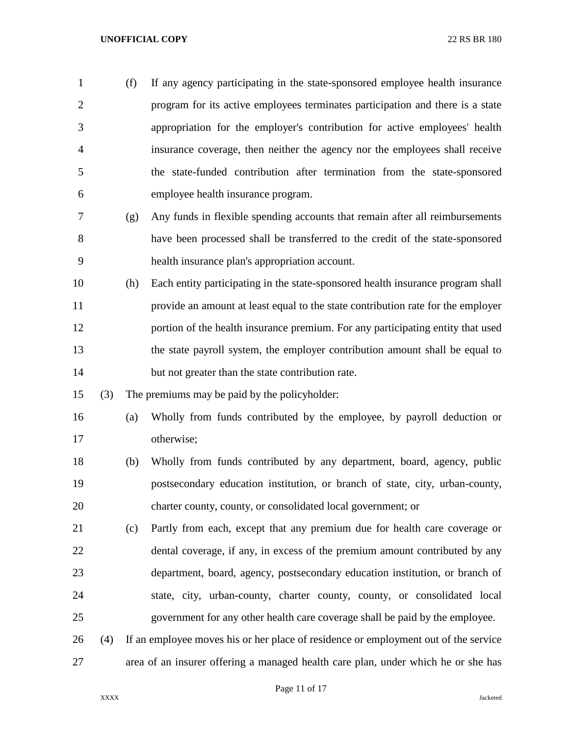(f) If any agency participating in the state-sponsored employee health insurance program for its active employees terminates participation and there is a state appropriation for the employer's contribution for active employees' health insurance coverage, then neither the agency nor the employees shall receive the state-funded contribution after termination from the state-sponsored employee health insurance program.

 (g) Any funds in flexible spending accounts that remain after all reimbursements have been processed shall be transferred to the credit of the state-sponsored health insurance plan's appropriation account.

- (h) Each entity participating in the state-sponsored health insurance program shall provide an amount at least equal to the state contribution rate for the employer portion of the health insurance premium. For any participating entity that used the state payroll system, the employer contribution amount shall be equal to 14 but not greater than the state contribution rate.
- (3) The premiums may be paid by the policyholder:
- (a) Wholly from funds contributed by the employee, by payroll deduction or otherwise;
- (b) Wholly from funds contributed by any department, board, agency, public postsecondary education institution, or branch of state, city, urban-county, charter county, county, or consolidated local government; or
- (c) Partly from each, except that any premium due for health care coverage or dental coverage, if any, in excess of the premium amount contributed by any department, board, agency, postsecondary education institution, or branch of state, city, urban-county, charter county, county, or consolidated local government for any other health care coverage shall be paid by the employee.
- (4) If an employee moves his or her place of residence or employment out of the service area of an insurer offering a managed health care plan, under which he or she has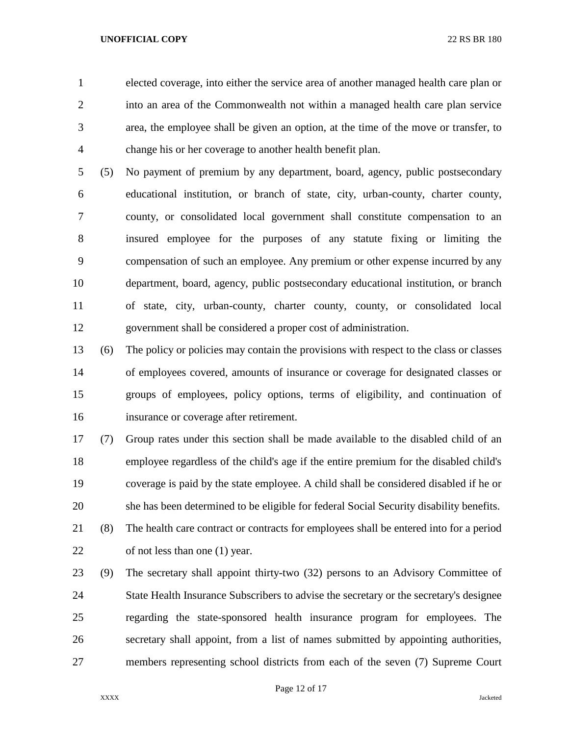elected coverage, into either the service area of another managed health care plan or into an area of the Commonwealth not within a managed health care plan service area, the employee shall be given an option, at the time of the move or transfer, to change his or her coverage to another health benefit plan.

 (5) No payment of premium by any department, board, agency, public postsecondary educational institution, or branch of state, city, urban-county, charter county, county, or consolidated local government shall constitute compensation to an insured employee for the purposes of any statute fixing or limiting the compensation of such an employee. Any premium or other expense incurred by any department, board, agency, public postsecondary educational institution, or branch of state, city, urban-county, charter county, county, or consolidated local government shall be considered a proper cost of administration.

 (6) The policy or policies may contain the provisions with respect to the class or classes of employees covered, amounts of insurance or coverage for designated classes or groups of employees, policy options, terms of eligibility, and continuation of insurance or coverage after retirement.

 (7) Group rates under this section shall be made available to the disabled child of an employee regardless of the child's age if the entire premium for the disabled child's coverage is paid by the state employee. A child shall be considered disabled if he or she has been determined to be eligible for federal Social Security disability benefits. (8) The health care contract or contracts for employees shall be entered into for a period of not less than one (1) year.

 (9) The secretary shall appoint thirty-two (32) persons to an Advisory Committee of State Health Insurance Subscribers to advise the secretary or the secretary's designee regarding the state-sponsored health insurance program for employees. The secretary shall appoint, from a list of names submitted by appointing authorities, members representing school districts from each of the seven (7) Supreme Court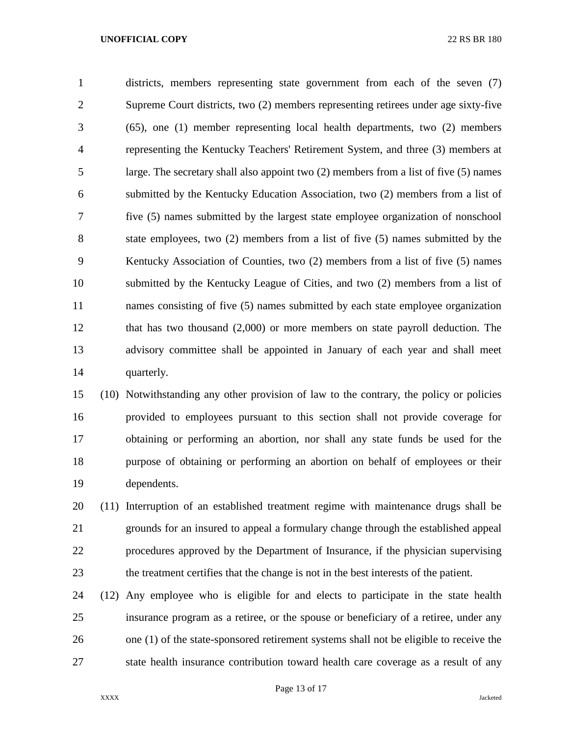districts, members representing state government from each of the seven (7) Supreme Court districts, two (2) members representing retirees under age sixty-five (65), one (1) member representing local health departments, two (2) members representing the Kentucky Teachers' Retirement System, and three (3) members at large. The secretary shall also appoint two (2) members from a list of five (5) names submitted by the Kentucky Education Association, two (2) members from a list of five (5) names submitted by the largest state employee organization of nonschool state employees, two (2) members from a list of five (5) names submitted by the Kentucky Association of Counties, two (2) members from a list of five (5) names submitted by the Kentucky League of Cities, and two (2) members from a list of names consisting of five (5) names submitted by each state employee organization that has two thousand (2,000) or more members on state payroll deduction. The advisory committee shall be appointed in January of each year and shall meet quarterly.

 (10) Notwithstanding any other provision of law to the contrary, the policy or policies provided to employees pursuant to this section shall not provide coverage for obtaining or performing an abortion, nor shall any state funds be used for the purpose of obtaining or performing an abortion on behalf of employees or their dependents.

 (11) Interruption of an established treatment regime with maintenance drugs shall be grounds for an insured to appeal a formulary change through the established appeal procedures approved by the Department of Insurance, if the physician supervising the treatment certifies that the change is not in the best interests of the patient.

 (12) Any employee who is eligible for and elects to participate in the state health insurance program as a retiree, or the spouse or beneficiary of a retiree, under any one (1) of the state-sponsored retirement systems shall not be eligible to receive the state health insurance contribution toward health care coverage as a result of any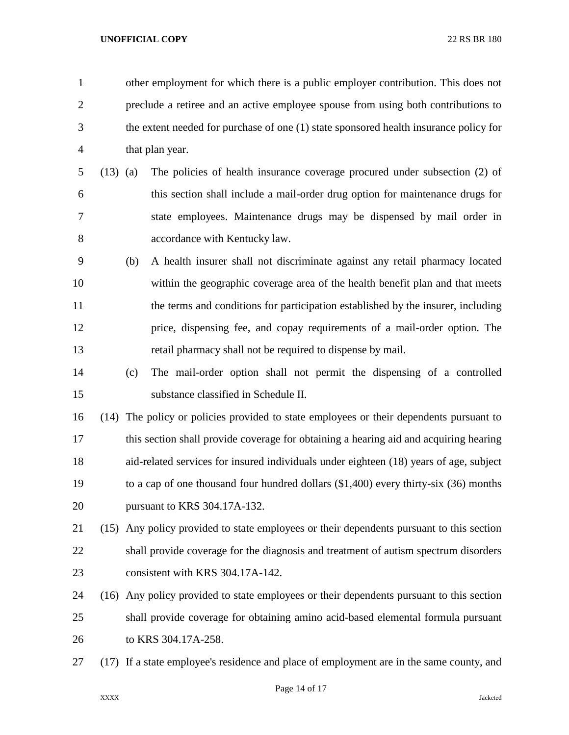other employment for which there is a public employer contribution. This does not preclude a retiree and an active employee spouse from using both contributions to the extent needed for purchase of one (1) state sponsored health insurance policy for that plan year. (13) (a) The policies of health insurance coverage procured under subsection (2) of this section shall include a mail-order drug option for maintenance drugs for state employees. Maintenance drugs may be dispensed by mail order in accordance with Kentucky law. (b) A health insurer shall not discriminate against any retail pharmacy located within the geographic coverage area of the health benefit plan and that meets the terms and conditions for participation established by the insurer, including price, dispensing fee, and copay requirements of a mail-order option. The retail pharmacy shall not be required to dispense by mail. (c) The mail-order option shall not permit the dispensing of a controlled substance classified in Schedule II. (14) The policy or policies provided to state employees or their dependents pursuant to this section shall provide coverage for obtaining a hearing aid and acquiring hearing aid-related services for insured individuals under eighteen (18) years of age, subject to a cap of one thousand four hundred dollars (\$1,400) every thirty-six (36) months pursuant to KRS 304.17A-132. (15) Any policy provided to state employees or their dependents pursuant to this section shall provide coverage for the diagnosis and treatment of autism spectrum disorders 23 consistent with KRS 304.17A-142. (16) Any policy provided to state employees or their dependents pursuant to this section shall provide coverage for obtaining amino acid-based elemental formula pursuant to KRS 304.17A-258. (17) If a state employee's residence and place of employment are in the same county, and

Page 14 of 17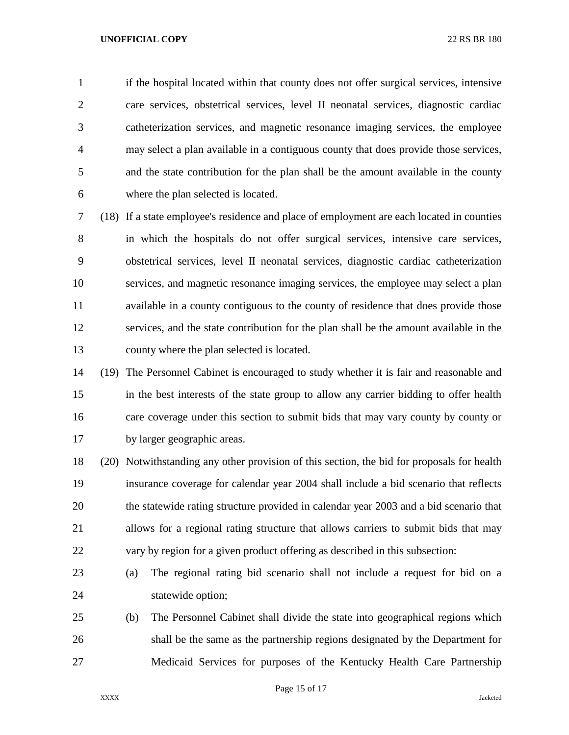if the hospital located within that county does not offer surgical services, intensive care services, obstetrical services, level II neonatal services, diagnostic cardiac catheterization services, and magnetic resonance imaging services, the employee may select a plan available in a contiguous county that does provide those services, and the state contribution for the plan shall be the amount available in the county where the plan selected is located.

 (18) If a state employee's residence and place of employment are each located in counties in which the hospitals do not offer surgical services, intensive care services, obstetrical services, level II neonatal services, diagnostic cardiac catheterization services, and magnetic resonance imaging services, the employee may select a plan available in a county contiguous to the county of residence that does provide those services, and the state contribution for the plan shall be the amount available in the county where the plan selected is located.

 (19) The Personnel Cabinet is encouraged to study whether it is fair and reasonable and in the best interests of the state group to allow any carrier bidding to offer health care coverage under this section to submit bids that may vary county by county or by larger geographic areas.

 (20) Notwithstanding any other provision of this section, the bid for proposals for health insurance coverage for calendar year 2004 shall include a bid scenario that reflects the statewide rating structure provided in calendar year 2003 and a bid scenario that allows for a regional rating structure that allows carriers to submit bids that may vary by region for a given product offering as described in this subsection:

- (a) The regional rating bid scenario shall not include a request for bid on a statewide option;
- (b) The Personnel Cabinet shall divide the state into geographical regions which shall be the same as the partnership regions designated by the Department for Medicaid Services for purposes of the Kentucky Health Care Partnership

Page 15 of 17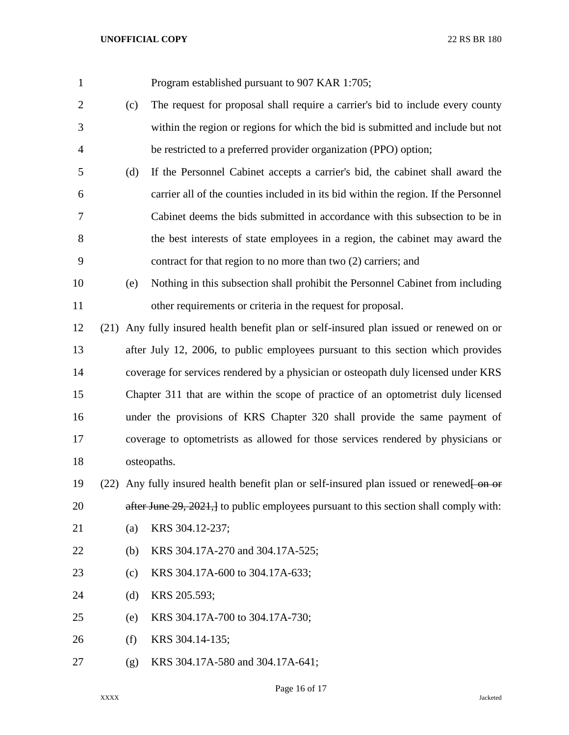| $\mathbf{1}$   |      |             | Program established pursuant to 907 KAR 1:705;                                               |  |
|----------------|------|-------------|----------------------------------------------------------------------------------------------|--|
| $\overline{2}$ |      | (c)         | The request for proposal shall require a carrier's bid to include every county               |  |
| 3              |      |             | within the region or regions for which the bid is submitted and include but not              |  |
| $\overline{4}$ |      |             | be restricted to a preferred provider organization (PPO) option;                             |  |
| 5              |      | (d)         | If the Personnel Cabinet accepts a carrier's bid, the cabinet shall award the                |  |
| 6              |      |             | carrier all of the counties included in its bid within the region. If the Personnel          |  |
| 7              |      |             | Cabinet deems the bids submitted in accordance with this subsection to be in                 |  |
| 8              |      |             | the best interests of state employees in a region, the cabinet may award the                 |  |
| 9              |      |             | contract for that region to no more than two (2) carriers; and                               |  |
| 10             |      | (e)         | Nothing in this subsection shall prohibit the Personnel Cabinet from including               |  |
| 11             |      |             | other requirements or criteria in the request for proposal.                                  |  |
| 12             | (21) |             | Any fully insured health benefit plan or self-insured plan issued or renewed on or           |  |
| 13             |      |             | after July 12, 2006, to public employees pursuant to this section which provides             |  |
| 14             |      |             | coverage for services rendered by a physician or osteopath duly licensed under KRS           |  |
| 15             |      |             | Chapter 311 that are within the scope of practice of an optometrist duly licensed            |  |
| 16             |      |             | under the provisions of KRS Chapter 320 shall provide the same payment of                    |  |
| 17             |      |             | coverage to optometrists as allowed for those services rendered by physicians or             |  |
| 18             |      | osteopaths. |                                                                                              |  |
| 19             |      |             | $(22)$ Any fully insured health benefit plan or self-insured plan issued or renewed $\theta$ |  |
| 20             |      |             | after June 29, 2021, to public employees pursuant to this section shall comply with:         |  |
| 21             |      | (a)         | KRS 304.12-237;                                                                              |  |
| 22             |      | (b)         | KRS 304.17A-270 and 304.17A-525;                                                             |  |
| 23             |      | (c)         | KRS 304.17A-600 to 304.17A-633;                                                              |  |
| 24             |      | (d)         | KRS 205.593;                                                                                 |  |
| 25             |      | (e)         | KRS 304.17A-700 to 304.17A-730;                                                              |  |
| 26             |      | (f)         | KRS 304.14-135;                                                                              |  |
| 27             |      | (g)         | KRS 304.17A-580 and 304.17A-641;                                                             |  |